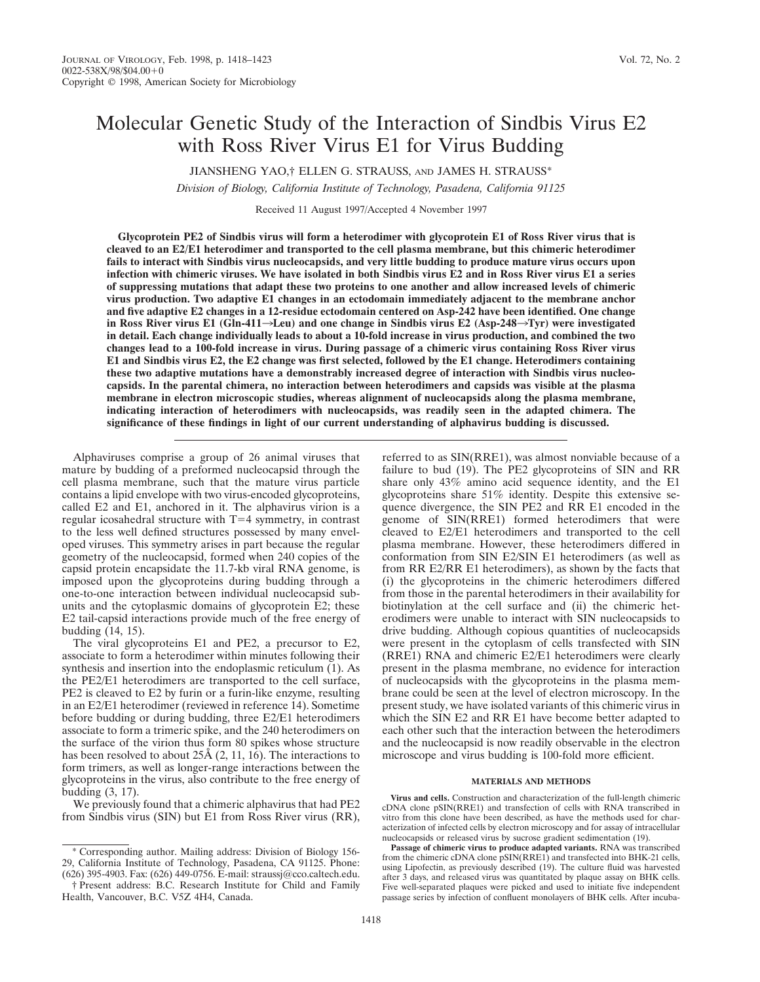# Molecular Genetic Study of the Interaction of Sindbis Virus E2 with Ross River Virus E1 for Virus Budding

JIANSHENG YAO,† ELLEN G. STRAUSS, AND JAMES H. STRAUSS\*

*Division of Biology, California Institute of Technology, Pasadena, California 91125*

Received 11 August 1997/Accepted 4 November 1997

**Glycoprotein PE2 of Sindbis virus will form a heterodimer with glycoprotein E1 of Ross River virus that is cleaved to an E2/E1 heterodimer and transported to the cell plasma membrane, but this chimeric heterodimer fails to interact with Sindbis virus nucleocapsids, and very little budding to produce mature virus occurs upon infection with chimeric viruses. We have isolated in both Sindbis virus E2 and in Ross River virus E1 a series of suppressing mutations that adapt these two proteins to one another and allow increased levels of chimeric virus production. Two adaptive E1 changes in an ectodomain immediately adjacent to the membrane anchor and five adaptive E2 changes in a 12-residue ectodomain centered on Asp-242 have been identified. One change** in Ross River virus E1 (Gln-411 $\rightarrow$ Leu) and one change in Sindbis virus E2 (Asp-248 $\rightarrow$ Tyr) were investigated **in detail. Each change individually leads to about a 10-fold increase in virus production, and combined the two changes lead to a 100-fold increase in virus. During passage of a chimeric virus containing Ross River virus E1 and Sindbis virus E2, the E2 change was first selected, followed by the E1 change. Heterodimers containing these two adaptive mutations have a demonstrably increased degree of interaction with Sindbis virus nucleocapsids. In the parental chimera, no interaction between heterodimers and capsids was visible at the plasma membrane in electron microscopic studies, whereas alignment of nucleocapsids along the plasma membrane, indicating interaction of heterodimers with nucleocapsids, was readily seen in the adapted chimera. The significance of these findings in light of our current understanding of alphavirus budding is discussed.**

Alphaviruses comprise a group of 26 animal viruses that mature by budding of a preformed nucleocapsid through the cell plasma membrane, such that the mature virus particle contains a lipid envelope with two virus-encoded glycoproteins, called E2 and E1, anchored in it. The alphavirus virion is a regular icosahedral structure with  $T=4$  symmetry, in contrast to the less well defined structures possessed by many enveloped viruses. This symmetry arises in part because the regular geometry of the nucleocapsid, formed when 240 copies of the capsid protein encapsidate the 11.7-kb viral RNA genome, is imposed upon the glycoproteins during budding through a one-to-one interaction between individual nucleocapsid subunits and the cytoplasmic domains of glycoprotein E2; these E2 tail-capsid interactions provide much of the free energy of budding (14, 15).

The viral glycoproteins E1 and PE2, a precursor to E2, associate to form a heterodimer within minutes following their synthesis and insertion into the endoplasmic reticulum  $(1)$ . As the PE2/E1 heterodimers are transported to the cell surface, PE2 is cleaved to E2 by furin or a furin-like enzyme, resulting in an E2/E1 heterodimer (reviewed in reference 14). Sometime before budding or during budding, three E2/E1 heterodimers associate to form a trimeric spike, and the 240 heterodimers on the surface of the virion thus form 80 spikes whose structure has been resolved to about 25Å (2, 11, 16). The interactions to form trimers, as well as longer-range interactions between the glycoproteins in the virus, also contribute to the free energy of budding (3, 17).

We previously found that a chimeric alphavirus that had PE2 from Sindbis virus (SIN) but E1 from Ross River virus (RR),

\* Corresponding author. Mailing address: Division of Biology 156- 29, California Institute of Technology, Pasadena, CA 91125. Phone: (626) 395-4903. Fax: (626) 449-0756. E-mail: straussj@cco.caltech.edu.

† Present address: B.C. Research Institute for Child and Family Health, Vancouver, B.C. V5Z 4H4, Canada.

referred to as SIN(RRE1), was almost nonviable because of a failure to bud (19). The PE2 glycoproteins of SIN and RR share only 43% amino acid sequence identity, and the E1 glycoproteins share 51% identity. Despite this extensive sequence divergence, the SIN PE2 and RR E1 encoded in the genome of SIN(RRE1) formed heterodimers that were cleaved to E2/E1 heterodimers and transported to the cell plasma membrane. However, these heterodimers differed in conformation from SIN E2/SIN E1 heterodimers (as well as from RR E2/RR E1 heterodimers), as shown by the facts that (i) the glycoproteins in the chimeric heterodimers differed from those in the parental heterodimers in their availability for biotinylation at the cell surface and (ii) the chimeric heterodimers were unable to interact with SIN nucleocapsids to drive budding. Although copious quantities of nucleocapsids were present in the cytoplasm of cells transfected with SIN (RRE1) RNA and chimeric E2/E1 heterodimers were clearly present in the plasma membrane, no evidence for interaction of nucleocapsids with the glycoproteins in the plasma membrane could be seen at the level of electron microscopy. In the present study, we have isolated variants of this chimeric virus in which the SIN E2 and RR E1 have become better adapted to each other such that the interaction between the heterodimers and the nucleocapsid is now readily observable in the electron microscope and virus budding is 100-fold more efficient.

#### **MATERIALS AND METHODS**

**Virus and cells.** Construction and characterization of the full-length chimeric cDNA clone pSIN(RRE1) and transfection of cells with RNA transcribed in vitro from this clone have been described, as have the methods used for characterization of infected cells by electron microscopy and for assay of intracellular nucleocapsids or released virus by sucrose gradient sedimentation (19).

**Passage of chimeric virus to produce adapted variants.** RNA was transcribed from the chimeric cDNA clone pSIN(RRE1) and transfected into BHK-21 cells, using Lipofectin, as previously described (19). The culture fluid was harvested after 3 days, and released virus was quantitated by plaque assay on BHK cells. Five well-separated plaques were picked and used to initiate five independent passage series by infection of confluent monolayers of BHK cells. After incuba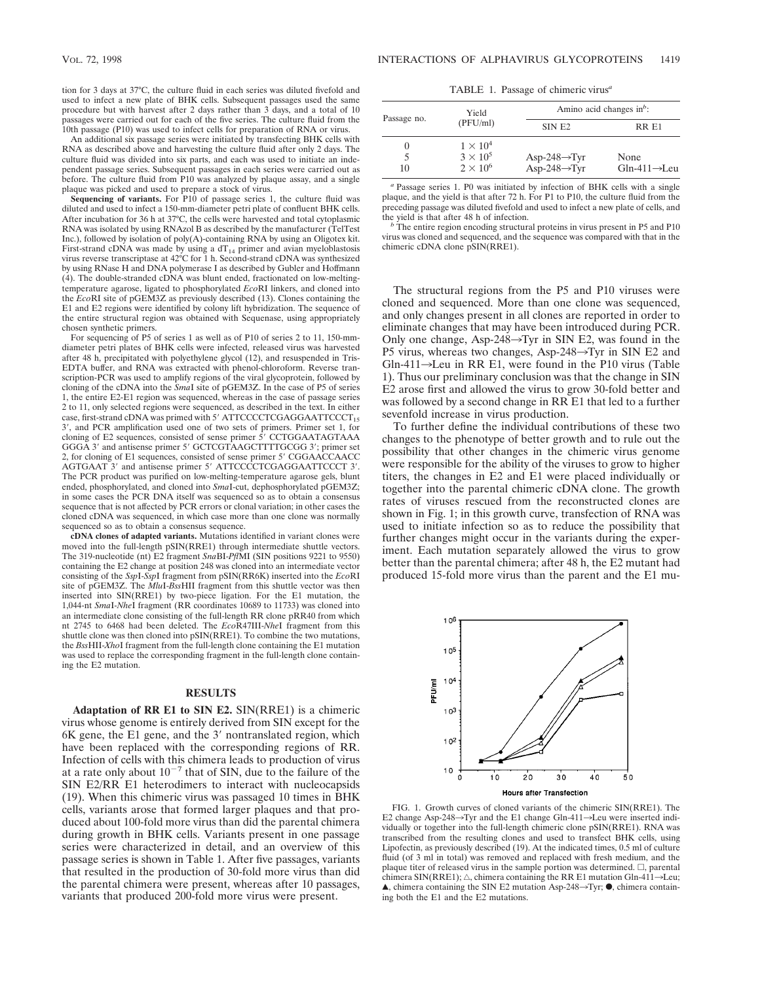tion for 3 days at 37°C, the culture fluid in each series was diluted fivefold and used to infect a new plate of BHK cells. Subsequent passages used the same procedure but with harvest after 2 days rather than 3 days, and a total of 10 passages were carried out for each of the five series. The culture fluid from the 10th passage (P10) was used to infect cells for preparation of RNA or virus.

An additional six passage series were initiated by transfecting BHK cells with RNA as described above and harvesting the culture fluid after only 2 days. The culture fluid was divided into six parts, and each was used to initiate an independent passage series. Subsequent passages in each series were carried out as before. The culture fluid from P10 was analyzed by plaque assay, and a single plaque was picked and used to prepare a stock of virus.

**Sequencing of variants.** For P10 of passage series 1, the culture fluid was diluted and used to infect a 150-mm-diameter petri plate of confluent BHK cells. After incubation for 36 h at 37°C, the cells were harvested and total cytoplasmic RNA was isolated by using RNAzol B as described by the manufacturer (TelTest Inc.), followed by isolation of poly(A)-containing RNA by using an Oligotex kit. First-strand cDNA was made by using a  $dT_{14}$  primer and avian myeloblastosis virus reverse transcriptase at 42°C for 1 h. Second-strand cDNA was synthesized by using RNase H and DNA polymerase I as described by Gubler and Hoffmann (4). The double-stranded cDNA was blunt ended, fractionated on low-meltingtemperature agarose, ligated to phosphorylated *Eco*RI linkers, and cloned into the *Eco*RI site of pGEM3Z as previously described (13). Clones containing the E1 and E2 regions were identified by colony lift hybridization. The sequence of the entire structural region was obtained with Sequenase, using appropriately chosen synthetic primers.

For sequencing of P5 of series 1 as well as of P10 of series 2 to 11, 150-mmdiameter petri plates of BHK cells were infected, released virus was harvested after 48 h, precipitated with polyethylene glycol (12), and resuspended in Tris-EDTA buffer, and RNA was extracted with phenol-chloroform. Reverse transcription-PCR was used to amplify regions of the viral glycoprotein, followed by cloning of the cDNA into the *Sma*I site of pGEM3Z. In the case of P5 of series 1, the entire E2-E1 region was sequenced, whereas in the case of passage series 2 to 11, only selected regions were sequenced, as described in the text. In either case, first-strand cDNA was primed with 5' ATTCCCCTCGAGGAATTCCCT15 3', and PCR amplification used one of two sets of primers. Primer set 1, for cloning of E2 sequences, consisted of sense primer 5' CCTGGAATAGTAAA GGGA 3' and antisense primer 5' GCTCGTAAGCTTTTGCGG 3'; primer set 2, for cloning of E1 sequences, consisted of sense primer 5' CGGAACCAACC AGTGAAT 3' and antisense primer 5' ATTCCCCTCGAGGAATTCCCT 3'. The PCR product was purified on low-melting-temperature agarose gels, blunt ended, phosphorylated, and cloned into *Sma*I-cut, dephosphorylated pGEM3Z; in some cases the PCR DNA itself was sequenced so as to obtain a consensus sequence that is not affected by PCR errors or clonal variation; in other cases the cloned cDNA was sequenced, in which case more than one clone was normally sequenced so as to obtain a consensus sequence.

**cDNA clones of adapted variants.** Mutations identified in variant clones were moved into the full-length pSIN(RRE1) through intermediate shuttle vectors. The 319-nucleotide (nt) E2 fragment *Sna*BI-*Pfl*MI (SIN positions 9221 to 9550) containing the E2 change at position 248 was cloned into an intermediate vector consisting of the *Ssp*I-*Ssp*I fragment from pSIN(RR6K) inserted into the *Eco*RI site of pGEM3Z. The *Mlu*I-*Bss*HII fragment from this shuttle vector was then inserted into SIN(RRE1) by two-piece ligation. For the E1 mutation, the 1,044-nt *Sma*I-*Nhe*I fragment (RR coordinates 10689 to 11733) was cloned into an intermediate clone consisting of the full-length RR clone pRR40 from which nt 2745 to 6468 had been deleted. The *Eco*R47III-*Nhe*I fragment from this shuttle clone was then cloned into pSIN(RRE1). To combine the two mutations, the *Bss*HII-*Xho*I fragment from the full-length clone containing the E1 mutation was used to replace the corresponding fragment in the full-length clone containing the E2 mutation.

#### **RESULTS**

**Adaptation of RR E1 to SIN E2.** SIN(RRE1) is a chimeric virus whose genome is entirely derived from SIN except for the  $6K$  gene, the E1 gene, and the  $3'$  nontranslated region, which have been replaced with the corresponding regions of RR. Infection of cells with this chimera leads to production of virus at a rate only about  $10^{-7}$  that of SIN, due to the failure of the SIN E2/RR E1 heterodimers to interact with nucleocapsids (19). When this chimeric virus was passaged 10 times in BHK cells, variants arose that formed larger plaques and that produced about 100-fold more virus than did the parental chimera during growth in BHK cells. Variants present in one passage series were characterized in detail, and an overview of this passage series is shown in Table 1. After five passages, variants that resulted in the production of 30-fold more virus than did the parental chimera were present, whereas after 10 passages, variants that produced 200-fold more virus were present.

TABLE 1. Passage of chimeric virus*<sup>a</sup>*

| Passage no. | Yield<br>(PFU/ml) | Amino acid changes in <sup>b</sup> : |                           |
|-------------|-------------------|--------------------------------------|---------------------------|
|             |                   | SIN E <sub>2</sub>                   | RR E1                     |
| O           | $1 \times 10^4$   |                                      |                           |
|             | $3 \times 10^5$   | Asp-248 $\rightarrow$ Tyr            | None                      |
| 10          | $2 \times 10^6$   | Asp-248 $\rightarrow$ Tyr            | $Gln-411 \rightarrow Leu$ |

*<sup>a</sup>* Passage series 1. P0 was initiated by infection of BHK cells with a single plaque, and the yield is that after 72 h. For P1 to P10, the culture fluid from the preceding passage was diluted fivefold and used to infect a new plate of cells, and the yield is that after 48 h of infection.<br><sup>*b*</sup> The entire region encoding structural proteins in virus present in P5 and P10

virus was cloned and sequenced, and the sequence was compared with that in the chimeric cDNA clone pSIN(RRE1).

The structural regions from the P5 and P10 viruses were cloned and sequenced. More than one clone was sequenced, and only changes present in all clones are reported in order to eliminate changes that may have been introduced during PCR. Only one change, Asp-248 $\rightarrow$ Tyr in SIN E2, was found in the P5 virus, whereas two changes, Asp-248 $\rightarrow$ Tyr in SIN E2 and Gln-411 $\rightarrow$ Leu in RR E1, were found in the P10 virus (Table 1). Thus our preliminary conclusion was that the change in SIN E2 arose first and allowed the virus to grow 30-fold better and was followed by a second change in RR E1 that led to a further sevenfold increase in virus production.

To further define the individual contributions of these two changes to the phenotype of better growth and to rule out the possibility that other changes in the chimeric virus genome were responsible for the ability of the viruses to grow to higher titers, the changes in E2 and E1 were placed individually or together into the parental chimeric cDNA clone. The growth rates of viruses rescued from the reconstructed clones are shown in Fig. 1; in this growth curve, transfection of RNA was used to initiate infection so as to reduce the possibility that further changes might occur in the variants during the experiment. Each mutation separately allowed the virus to grow better than the parental chimera; after 48 h, the E2 mutant had produced 15-fold more virus than the parent and the E1 mu-



FIG. 1. Growth curves of cloned variants of the chimeric SIN(RRE1). The E2 change Asp-248→Tyr and the E1 change Gln-411→Leu were inserted individually or together into the full-length chimeric clone pSIN(RRE1). RNA was transcribed from the resulting clones and used to transfect BHK cells, using Lipofectin, as previously described (19). At the indicated times, 0.5 ml of culture fluid (of 3 ml in total) was removed and replaced with fresh medium, and the plaque titer of released virus in the sample portion was determined.  $\square$ , parental chimera SIN(RRE1);  $\triangle$ , chimera containing the RR E1 mutation Gln-411 $\rightarrow$ Leu;  $\blacktriangle$ , chimera containing the SIN E2 mutation Asp-248 $\rightarrow$ Tyr;  $\blacktriangleright$ , chimera containing both the E1 and the E2 mutations.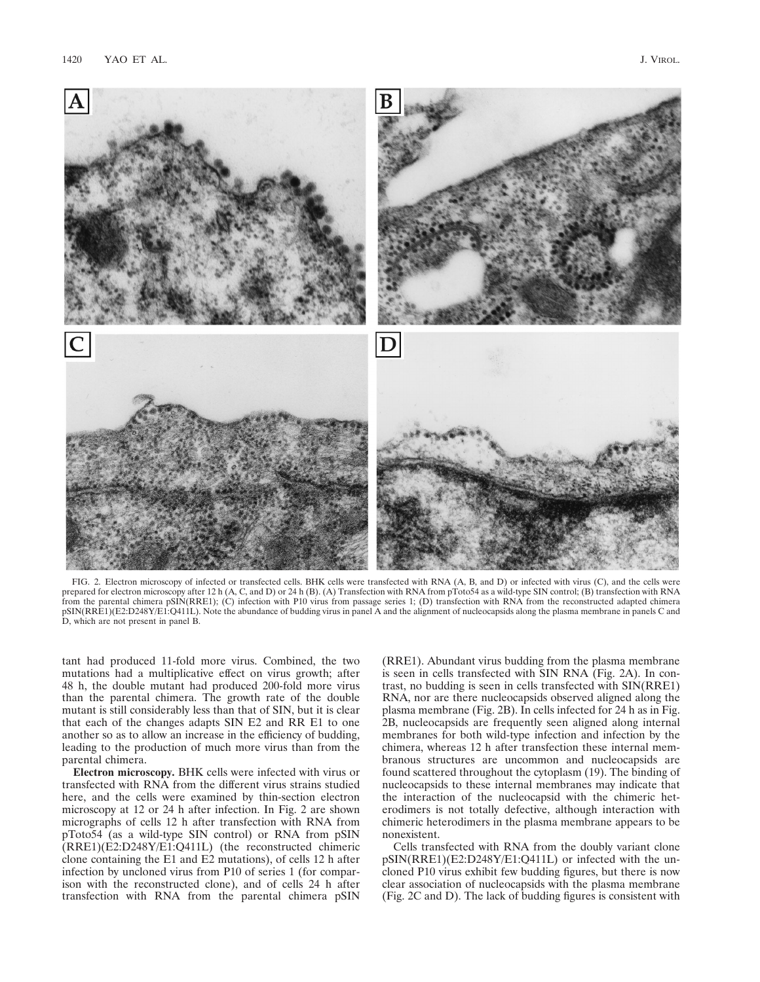

FIG. 2. Electron microscopy of infected or transfected cells. BHK cells were transfected with RNA (A, B, and D) or infected with virus (C), and the cells were prepared for electron microscopy after 12 h (A, C, and D) or 24 h (B). (A) Transfection with RNA from pToto54 as a wild-type SIN control; (B) transfection with RNA from the parental chimera pSIN(RRE1); (C) infection with P10 virus from passage series 1; (D) transfection with RNA from the reconstructed adapted chimera pSIN(RRE1)(E2:D248Y/E1:Q411L). Note the abundance of budding virus in panel A and the alignment of nucleocapsids along the plasma membrane in panels C and D, which are not present in panel B.

tant had produced 11-fold more virus. Combined, the two mutations had a multiplicative effect on virus growth; after 48 h, the double mutant had produced 200-fold more virus than the parental chimera. The growth rate of the double mutant is still considerably less than that of SIN, but it is clear that each of the changes adapts SIN E2 and RR E1 to one another so as to allow an increase in the efficiency of budding, leading to the production of much more virus than from the parental chimera.

**Electron microscopy.** BHK cells were infected with virus or transfected with RNA from the different virus strains studied here, and the cells were examined by thin-section electron microscopy at 12 or 24 h after infection. In Fig. 2 are shown micrographs of cells 12 h after transfection with RNA from pToto54 (as a wild-type SIN control) or RNA from pSIN (RRE1)(E2:D248Y/E1:Q411L) (the reconstructed chimeric clone containing the E1 and E2 mutations), of cells 12 h after infection by uncloned virus from P10 of series 1 (for comparison with the reconstructed clone), and of cells 24 h after transfection with RNA from the parental chimera pSIN (RRE1). Abundant virus budding from the plasma membrane is seen in cells transfected with SIN RNA (Fig. 2A). In contrast, no budding is seen in cells transfected with SIN(RRE1) RNA, nor are there nucleocapsids observed aligned along the plasma membrane (Fig. 2B). In cells infected for 24 h as in Fig. 2B, nucleocapsids are frequently seen aligned along internal membranes for both wild-type infection and infection by the chimera, whereas 12 h after transfection these internal membranous structures are uncommon and nucleocapsids are found scattered throughout the cytoplasm (19). The binding of nucleocapsids to these internal membranes may indicate that the interaction of the nucleocapsid with the chimeric heterodimers is not totally defective, although interaction with chimeric heterodimers in the plasma membrane appears to be nonexistent.

Cells transfected with RNA from the doubly variant clone pSIN(RRE1)(E2:D248Y/E1:Q411L) or infected with the uncloned P10 virus exhibit few budding figures, but there is now clear association of nucleocapsids with the plasma membrane (Fig. 2C and D). The lack of budding figures is consistent with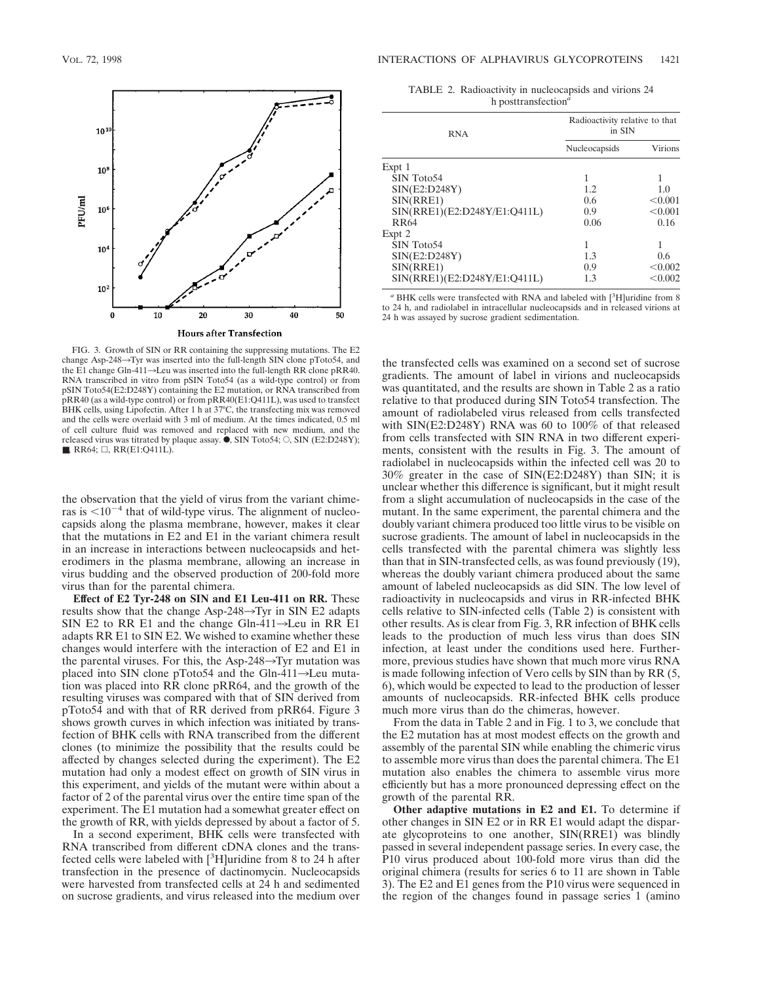

FIG. 3. Growth of SIN or RR containing the suppressing mutations. The E2 change Asp-248 $\rightarrow$ Tyr was inserted into the full-length SIN clone pToto54, and the E1 change Gln-411 $\rightarrow$ Leu was inserted into the full-length RR clone pRR40. RNA transcribed in vitro from pSIN Toto54 (as a wild-type control) or from pSIN Toto54(E2:D248Y) containing the E2 mutation, or RNA transcribed from pRR40 (as a wild-type control) or from pRR40(E1:Q411L), was used to transfect BHK cells, using Lipofectin. After 1 h at 37°C, the transfecting mix was removed and the cells were overlaid with 3 ml of medium. At the times indicated, 0.5 ml of cell culture fluid was removed and replaced with new medium, and the released virus was titrated by plaque assay.  $\hat{\bullet}$ , SIN Toto54;  $\circ$ , SIN (E2:D248Y);  $\blacksquare$ , RR64;  $\Box$ , RR(E1:Q411L).

the observation that the yield of virus from the variant chimeras is  $\leq 10^{-4}$  that of wild-type virus. The alignment of nucleocapsids along the plasma membrane, however, makes it clear that the mutations in E2 and E1 in the variant chimera result in an increase in interactions between nucleocapsids and heterodimers in the plasma membrane, allowing an increase in virus budding and the observed production of 200-fold more virus than for the parental chimera.

**Effect of E2 Tyr-248 on SIN and E1 Leu-411 on RR.** These results show that the change Asp-248 $\rightarrow$ Tyr in SIN E2 adapts SIN E2 to RR E1 and the change Gln-411 $\rightarrow$ Leu in RR E1 adapts RR E1 to SIN E2. We wished to examine whether these changes would interfere with the interaction of E2 and E1 in the parental viruses. For this, the Asp-248 $\rightarrow$ Tyr mutation was placed into SIN clone pToto54 and the Gln-411 $\rightarrow$ Leu mutation was placed into RR clone pRR64, and the growth of the resulting viruses was compared with that of SIN derived from pToto54 and with that of RR derived from pRR64. Figure 3 shows growth curves in which infection was initiated by transfection of BHK cells with RNA transcribed from the different clones (to minimize the possibility that the results could be affected by changes selected during the experiment). The E2 mutation had only a modest effect on growth of SIN virus in this experiment, and yields of the mutant were within about a factor of 2 of the parental virus over the entire time span of the experiment. The E1 mutation had a somewhat greater effect on the growth of RR, with yields depressed by about a factor of 5.

In a second experiment, BHK cells were transfected with RNA transcribed from different cDNA clones and the transfected cells were labeled with  $[{}^{3}H]$ uridine from 8 to 24 h after transfection in the presence of dactinomycin. Nucleocapsids were harvested from transfected cells at 24 h and sedimented on sucrose gradients, and virus released into the medium over

TABLE 2. Radioactivity in nucleocapsids and virions 24 h posttransfection*<sup>a</sup>*

| <b>RNA</b>                   | Radioactivity relative to that<br>in SIN |                |
|------------------------------|------------------------------------------|----------------|
|                              | Nucleocapsids                            | <b>Virions</b> |
| Expt 1                       |                                          |                |
| SIN Toto54                   | 1                                        |                |
| SIN(E2:D248Y)                | 1.2.                                     | 1.0            |
| SIN(RRE1)                    | 0.6                                      | < 0.001        |
| SIN(RRE1)(E2:D248Y/E1:Q411L) | 0.9                                      | < 0.001        |
| <b>RR64</b>                  | 0.06                                     | 0.16           |
| Expt 2                       |                                          |                |
| SIN Toto54                   | 1                                        |                |
| SIN(E2:D248Y)                | 1.3                                      | 0.6            |
| SIN(RRE1)                    | 0.9                                      | < 0.002        |
| SIN(RRE1)(E2:D248Y/E1:Q411L) | 1.3                                      | < 0.002        |

<sup>a</sup> BHK cells were transfected with RNA and labeled with [<sup>3</sup>H]uridine from 8 to 24 h, and radiolabel in intracellular nucleocapsids and in released virions at 24 h was assayed by sucrose gradient sedimentation.

the transfected cells was examined on a second set of sucrose gradients. The amount of label in virions and nucleocapsids was quantitated, and the results are shown in Table 2 as a ratio relative to that produced during SIN Toto54 transfection. The amount of radiolabeled virus released from cells transfected with SIN(E2:D248Y) RNA was 60 to 100% of that released from cells transfected with SIN RNA in two different experiments, consistent with the results in Fig. 3. The amount of radiolabel in nucleocapsids within the infected cell was 20 to 30% greater in the case of SIN(E2:D248Y) than SIN; it is unclear whether this difference is significant, but it might result from a slight accumulation of nucleocapsids in the case of the mutant. In the same experiment, the parental chimera and the doubly variant chimera produced too little virus to be visible on sucrose gradients. The amount of label in nucleocapsids in the cells transfected with the parental chimera was slightly less than that in SIN-transfected cells, as was found previously (19), whereas the doubly variant chimera produced about the same amount of labeled nucleocapsids as did SIN. The low level of radioactivity in nucleocapsids and virus in RR-infected BHK cells relative to SIN-infected cells (Table 2) is consistent with other results. As is clear from Fig. 3, RR infection of BHK cells leads to the production of much less virus than does SIN infection, at least under the conditions used here. Furthermore, previous studies have shown that much more virus RNA is made following infection of Vero cells by SIN than by RR (5, 6), which would be expected to lead to the production of lesser amounts of nucleocapsids. RR-infected BHK cells produce much more virus than do the chimeras, however.

From the data in Table 2 and in Fig. 1 to 3, we conclude that the E2 mutation has at most modest effects on the growth and assembly of the parental SIN while enabling the chimeric virus to assemble more virus than does the parental chimera. The E1 mutation also enables the chimera to assemble virus more efficiently but has a more pronounced depressing effect on the growth of the parental RR.

**Other adaptive mutations in E2 and E1.** To determine if other changes in SIN E2 or in RR E1 would adapt the disparate glycoproteins to one another, SIN(RRE1) was blindly passed in several independent passage series. In every case, the P10 virus produced about 100-fold more virus than did the original chimera (results for series 6 to 11 are shown in Table 3). The E2 and E1 genes from the P10 virus were sequenced in the region of the changes found in passage series 1 (amino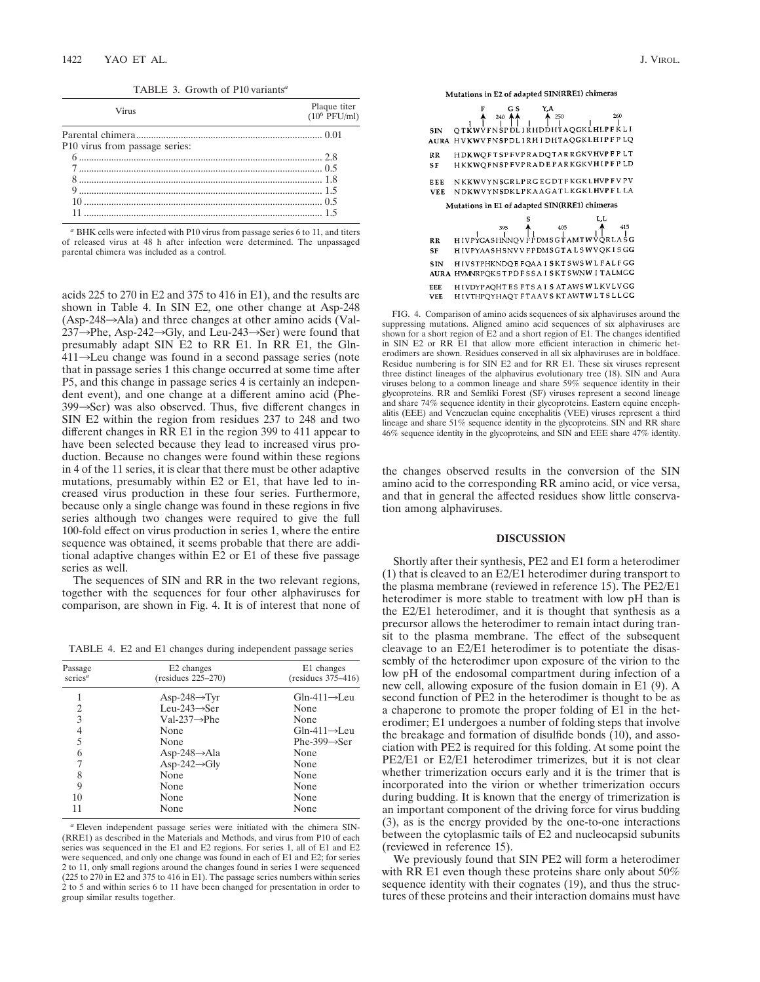TABLE 3. Growth of P10 variants*<sup>a</sup>*

| <b>Virus</b>                   | Plaque titer<br>$(10^6 \text{ PFU/ml})$ |
|--------------------------------|-----------------------------------------|
|                                |                                         |
| P10 virus from passage series: |                                         |
|                                |                                         |
|                                |                                         |
| 8 1.8                          |                                         |
|                                |                                         |
|                                |                                         |
|                                |                                         |

*<sup>a</sup>* BHK cells were infected with P10 virus from passage series 6 to 11, and titers of released virus at 48 h after infection were determined. The unpassaged parental chimera was included as a control.

acids 225 to 270 in E2 and 375 to 416 in E1), and the results are shown in Table 4. In SIN E2, one other change at Asp-248  $(Asp-248 \rightarrow Ala)$  and three changes at other amino acids (Val- $237 \rightarrow$ Phe, Asp-242 $\rightarrow$ Gly, and Leu-243 $\rightarrow$ Ser) were found that presumably adapt SIN E2 to RR E1. In RR E1, the Gln- $411 \rightarrow$ Leu change was found in a second passage series (note that in passage series 1 this change occurred at some time after P5, and this change in passage series 4 is certainly an independent event), and one change at a different amino acid (Phe- $399 \rightarrow$ Ser) was also observed. Thus, five different changes in SIN E2 within the region from residues 237 to 248 and two different changes in RR E1 in the region 399 to 411 appear to have been selected because they lead to increased virus production. Because no changes were found within these regions in 4 of the 11 series, it is clear that there must be other adaptive mutations, presumably within E2 or E1, that have led to increased virus production in these four series. Furthermore, because only a single change was found in these regions in five series although two changes were required to give the full 100-fold effect on virus production in series 1, where the entire sequence was obtained, it seems probable that there are additional adaptive changes within E2 or E1 of these five passage series as well.

The sequences of SIN and RR in the two relevant regions, together with the sequences for four other alphaviruses for comparison, are shown in Fig. 4. It is of interest that none of

TABLE 4. E2 and E1 changes during independent passage series

| Passage<br>series <sup>a</sup> | E <sub>2</sub> changes<br>$(residues 225-270)$ | E1 changes<br>(residues 375-416) |  |
|--------------------------------|------------------------------------------------|----------------------------------|--|
|                                | $Asp-248 \rightarrow Tyr$                      | $Gln-411 \rightarrow Leu$        |  |
| 2                              | $I.eu-243 \rightarrow Ser$                     | None                             |  |
| 3                              | $Val-237 \rightarrow Phe$                      | None                             |  |
| 4                              | None                                           | $Gln-411 \rightarrow Leu$        |  |
| 5                              | None                                           | Phe-399 $\rightarrow$ Ser        |  |
| 6                              | Asp-248 $\rightarrow$ Ala                      | None                             |  |
|                                | Asp-242 $\rightarrow$ Gly                      | None                             |  |
| 8                              | None                                           | None                             |  |
| 9                              | None                                           | None                             |  |
| 10                             | None                                           | None                             |  |
| 11                             | None                                           | None                             |  |

*<sup>a</sup>* Eleven independent passage series were initiated with the chimera SIN- (RRE1) as described in the Materials and Methods, and virus from P10 of each series was sequenced in the E1 and E2 regions. For series 1, all of E1 and E2 were sequenced, and only one change was found in each of E1 and E2; for series 2 to 11, only small regions around the changes found in series 1 were sequenced (225 to 270 in E2 and 375 to 416 in E1). The passage series numbers within series 2 to 5 and within series 6 to 11 have been changed for presentation in order to group similar results together.

Mutations in E2 of adapted SIN(RRE1) chimeras

| <b>SIN</b>             | Y,A<br>G S<br>$^{240}_{25}$ A $^4$<br>$\uparrow$ 250<br>260<br>OTKWVFNSPDLIRHDDHTAQGKLHLPFKLI<br>AURA HVKWVFNSPDLIRHIDHTAQGKLHIPFPLQ |
|------------------------|--------------------------------------------------------------------------------------------------------------------------------------|
| RR<br>S F              | HDKWQFTSPFVPRADQTARRGKVHVPFPLT<br>HKKWQFNSPFVPRADEPARKGKVHIPFPLD                                                                     |
| EEE<br>VEE             | NKKWVYNSGRLPRGEGDTFKGKLHVPFVPV<br>NDKWVYNSDKLPKAAGATLKGKLHVPFLLA<br>Mutations in E1 of adapted SIN(RRE1) chimeras                    |
|                        | L,L<br>405<br>415<br>395                                                                                                             |
| <b>RR</b><br><b>SF</b> | HIVPYGASHNNOV FPDMSGTAMTWVQRLASG<br>HIVPYAASHSNVVFPDMSGTALSWVQKISGG                                                                  |
| SIN                    | HIVSTPHKNDQE FQAAISKT SWSWLFALFGG<br>AURA HVMNRPQKSTPDFSSAISKTSWNWITALMGG                                                            |
| EEE<br>VEE             | HIVDYPAQHTES FTSAISATAWSWLKVLVGG<br>HIVTHPQYHAQT FTAAVS KTAWTWLTSLLGG                                                                |

FIG. 4. Comparison of amino acids sequences of six alphaviruses around the suppressing mutations. Aligned amino acid sequences of six alphaviruses are shown for a short region of  $E2$  and a short region of E1. The changes identified in SIN E2 or RR E1 that allow more efficient interaction in chimeric heterodimers are shown. Residues conserved in all six alphaviruses are in boldface. Residue numbering is for SIN E2 and for RR E1. These six viruses represent three distinct lineages of the alphavirus evolutionary tree (18). SIN and Aura viruses belong to a common lineage and share 59% sequence identity in their glycoproteins. RR and Semliki Forest (SF) viruses represent a second lineage and share 74% sequence identity in their glycoproteins. Eastern equine encephalitis (EEE) and Venezuelan equine encephalitis (VEE) viruses represent a third lineage and share 51% sequence identity in the glycoproteins. SIN and RR share 46% sequence identity in the glycoproteins, and SIN and EEE share 47% identity.

the changes observed results in the conversion of the SIN amino acid to the corresponding RR amino acid, or vice versa, and that in general the affected residues show little conservation among alphaviruses.

## **DISCUSSION**

Shortly after their synthesis, PE2 and E1 form a heterodimer (1) that is cleaved to an E2/E1 heterodimer during transport to the plasma membrane (reviewed in reference 15). The PE2/E1 heterodimer is more stable to treatment with low pH than is the E2/E1 heterodimer, and it is thought that synthesis as a precursor allows the heterodimer to remain intact during transit to the plasma membrane. The effect of the subsequent cleavage to an E2/E1 heterodimer is to potentiate the disassembly of the heterodimer upon exposure of the virion to the low pH of the endosomal compartment during infection of a new cell, allowing exposure of the fusion domain in E1 (9). A second function of PE2 in the heterodimer is thought to be as a chaperone to promote the proper folding of E1 in the heterodimer; E1 undergoes a number of folding steps that involve the breakage and formation of disulfide bonds (10), and association with PE2 is required for this folding. At some point the PE2/E1 or E2/E1 heterodimer trimerizes, but it is not clear whether trimerization occurs early and it is the trimer that is incorporated into the virion or whether trimerization occurs during budding. It is known that the energy of trimerization is an important component of the driving force for virus budding (3), as is the energy provided by the one-to-one interactions between the cytoplasmic tails of E2 and nucleocapsid subunits (reviewed in reference 15).

We previously found that SIN PE2 will form a heterodimer with RR E1 even though these proteins share only about 50% sequence identity with their cognates (19), and thus the structures of these proteins and their interaction domains must have